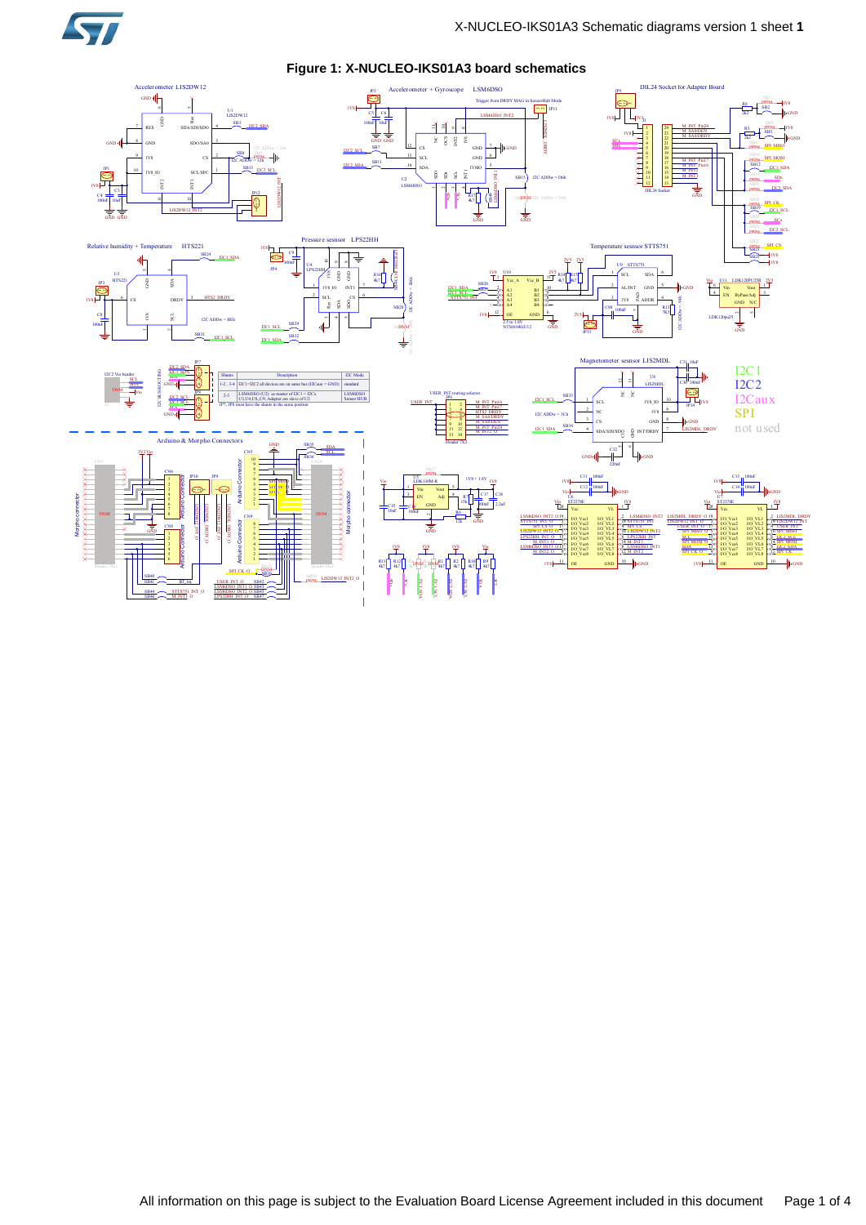

M\_INT1\_O

SB46

SB47

LPS22HH\_INT\_O

**Figure 1: X-NUCLEO-IKS01A3 board schematics**

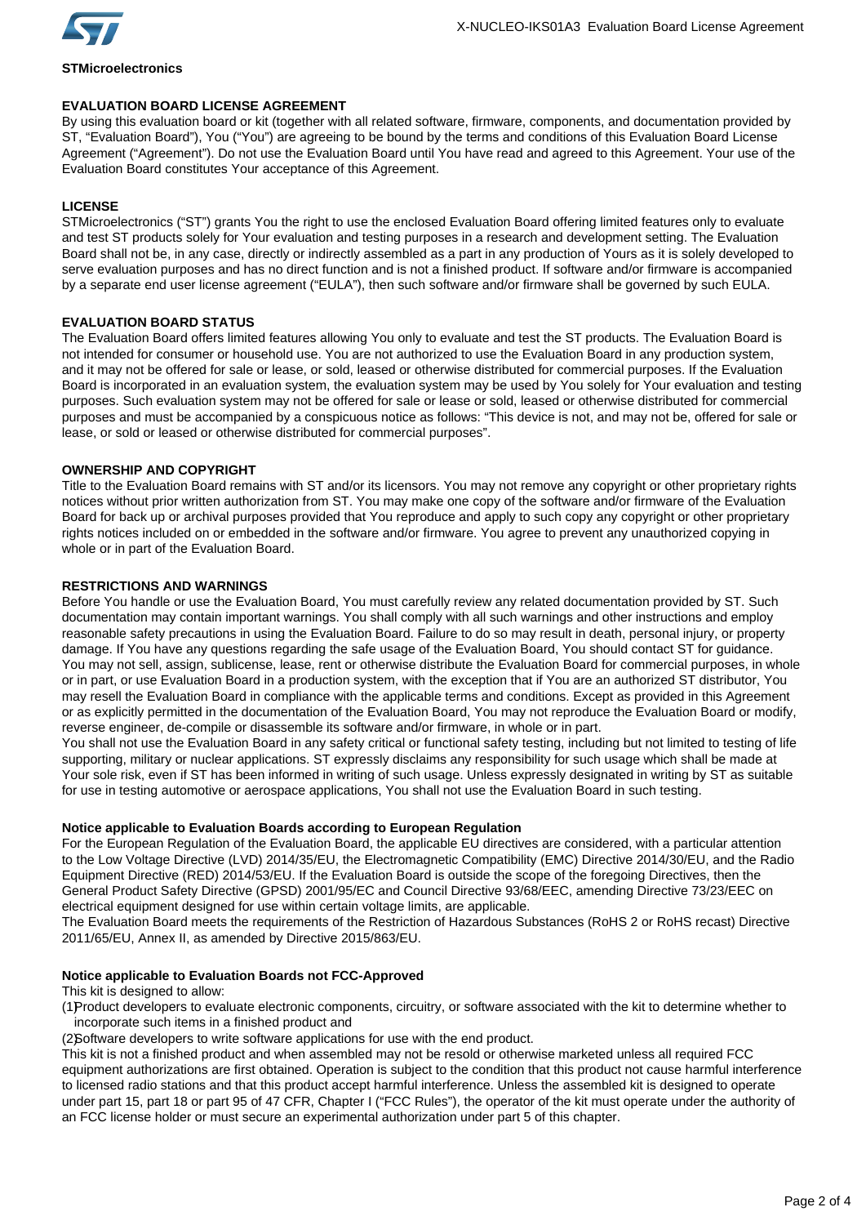

# **STMicroelectronics**

# **EVALUATION BOARD LICENSE AGREEMENT**

By using this evaluation board or kit (together with all related software, firmware, components, and documentation provided by ST, "Evaluation Board"), You ("You") are agreeing to be bound by the terms and conditions of this Evaluation Board License Agreement ("Agreement"). Do not use the Evaluation Board until You have read and agreed to this Agreement. Your use of the Evaluation Board constitutes Your acceptance of this Agreement.

# **LICENSE**

STMicroelectronics ("ST") grants You the right to use the enclosed Evaluation Board offering limited features only to evaluate and test ST products solely for Your evaluation and testing purposes in a research and development setting. The Evaluation Board shall not be, in any case, directly or indirectly assembled as a part in any production of Yours as it is solely developed to serve evaluation purposes and has no direct function and is not a finished product. If software and/or firmware is accompanied by a separate end user license agreement ("EULA"), then such software and/or firmware shall be governed by such EULA.

## **EVALUATION BOARD STATUS**

The Evaluation Board offers limited features allowing You only to evaluate and test the ST products. The Evaluation Board is not intended for consumer or household use. You are not authorized to use the Evaluation Board in any production system, and it may not be offered for sale or lease, or sold, leased or otherwise distributed for commercial purposes. If the Evaluation Board is incorporated in an evaluation system, the evaluation system may be used by You solely for Your evaluation and testing purposes. Such evaluation system may not be offered for sale or lease or sold, leased or otherwise distributed for commercial purposes and must be accompanied by a conspicuous notice as follows: "This device is not, and may not be, offered for sale or lease, or sold or leased or otherwise distributed for commercial purposes".

## **OWNERSHIP AND COPYRIGHT**

Title to the Evaluation Board remains with ST and/or its licensors. You may not remove any copyright or other proprietary rights notices without prior written authorization from ST. You may make one copy of the software and/or firmware of the Evaluation Board for back up or archival purposes provided that You reproduce and apply to such copy any copyright or other proprietary rights notices included on or embedded in the software and/or firmware. You agree to prevent any unauthorized copying in whole or in part of the Evaluation Board.

## **RESTRICTIONS AND WARNINGS**

Before You handle or use the Evaluation Board, You must carefully review any related documentation provided by ST. Such documentation may contain important warnings. You shall comply with all such warnings and other instructions and employ reasonable safety precautions in using the Evaluation Board. Failure to do so may result in death, personal injury, or property damage. If You have any questions regarding the safe usage of the Evaluation Board, You should contact ST for guidance. You may not sell, assign, sublicense, lease, rent or otherwise distribute the Evaluation Board for commercial purposes, in whole or in part, or use Evaluation Board in a production system, with the exception that if You are an authorized ST distributor, You may resell the Evaluation Board in compliance with the applicable terms and conditions. Except as provided in this Agreement or as explicitly permitted in the documentation of the Evaluation Board, You may not reproduce the Evaluation Board or modify, reverse engineer, de-compile or disassemble its software and/or firmware, in whole or in part.

You shall not use the Evaluation Board in any safety critical or functional safety testing, including but not limited to testing of life supporting, military or nuclear applications. ST expressly disclaims any responsibility for such usage which shall be made at Your sole risk, even if ST has been informed in writing of such usage. Unless expressly designated in writing by ST as suitable for use in testing automotive or aerospace applications, You shall not use the Evaluation Board in such testing.

# **Notice applicable to Evaluation Boards according to European Regulation**

For the European Regulation of the Evaluation Board, the applicable EU directives are considered, with a particular attention to the Low Voltage Directive (LVD) 2014/35/EU, the Electromagnetic Compatibility (EMC) Directive 2014/30/EU, and the Radio Equipment Directive (RED) 2014/53/EU. If the Evaluation Board is outside the scope of the foregoing Directives, then the General Product Safety Directive (GPSD) 2001/95/EC and Council Directive 93/68/EEC, amending Directive 73/23/EEC on electrical equipment designed for use within certain voltage limits, are applicable.

The Evaluation Board meets the requirements of the Restriction of Hazardous Substances (RoHS 2 or RoHS recast) Directive 2011/65/EU, Annex II, as amended by Directive 2015/863/EU.

# **Notice applicable to Evaluation Boards not FCC-Approved**

This kit is designed to allow:

(1)Product developers to evaluate electronic components, circuitry, or software associated with the kit to determine whether to incorporate such items in a finished product and

(2)Software developers to write software applications for use with the end product.

This kit is not a finished product and when assembled may not be resold or otherwise marketed unless all required FCC equipment authorizations are first obtained. Operation is subject to the condition that this product not cause harmful interference to licensed radio stations and that this product accept harmful interference. Unless the assembled kit is designed to operate under part 15, part 18 or part 95 of 47 CFR, Chapter I ("FCC Rules"), the operator of the kit must operate under the authority of an FCC license holder or must secure an experimental authorization under part 5 of this chapter.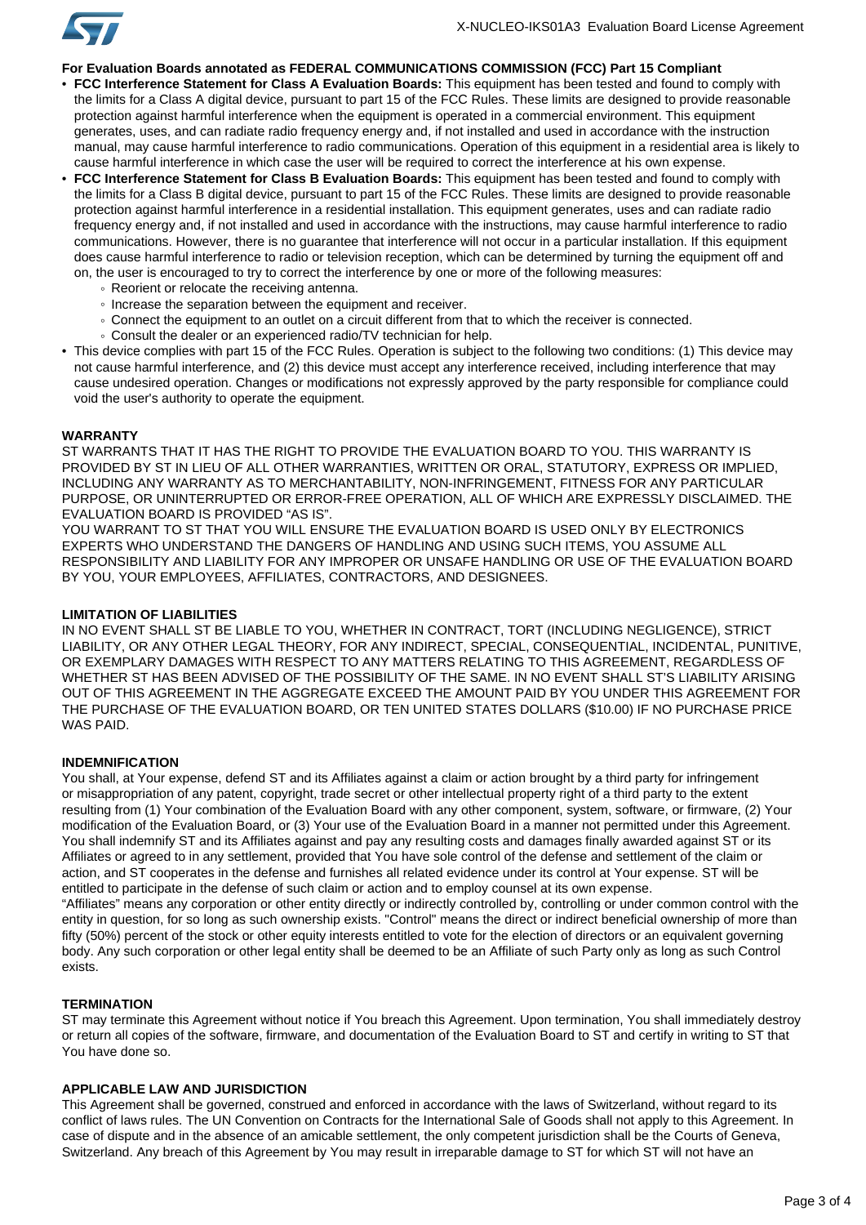

## **For Evaluation Boards annotated as FEDERAL COMMUNICATIONS COMMISSION (FCC) Part 15 Compliant**

- **FCC Interference Statement for Class A Evaluation Boards:** This equipment has been tested and found to comply with the limits for a Class A digital device, pursuant to part 15 of the FCC Rules. These limits are designed to provide reasonable protection against harmful interference when the equipment is operated in a commercial environment. This equipment generates, uses, and can radiate radio frequency energy and, if not installed and used in accordance with the instruction manual, may cause harmful interference to radio communications. Operation of this equipment in a residential area is likely to cause harmful interference in which case the user will be required to correct the interference at his own expense.
- **FCC Interference Statement for Class B Evaluation Boards:** This equipment has been tested and found to comply with the limits for a Class B digital device, pursuant to part 15 of the FCC Rules. These limits are designed to provide reasonable protection against harmful interference in a residential installation. This equipment generates, uses and can radiate radio frequency energy and, if not installed and used in accordance with the instructions, may cause harmful interference to radio communications. However, there is no guarantee that interference will not occur in a particular installation. If this equipment does cause harmful interference to radio or television reception, which can be determined by turning the equipment off and on, the user is encouraged to try to correct the interference by one or more of the following measures:
	- Reorient or relocate the receiving antenna.
	- Increase the separation between the equipment and receiver.
	- Connect the equipment to an outlet on a circuit different from that to which the receiver is connected.
	- Consult the dealer or an experienced radio/TV technician for help.
- This device complies with part 15 of the FCC Rules. Operation is subject to the following two conditions: (1) This device may not cause harmful interference, and (2) this device must accept any interference received, including interference that may cause undesired operation. Changes or modifications not expressly approved by the party responsible for compliance could void the user's authority to operate the equipment.

#### **WARRANTY**

ST WARRANTS THAT IT HAS THE RIGHT TO PROVIDE THE EVALUATION BOARD TO YOU. THIS WARRANTY IS PROVIDED BY ST IN LIEU OF ALL OTHER WARRANTIES, WRITTEN OR ORAL, STATUTORY, EXPRESS OR IMPLIED, INCLUDING ANY WARRANTY AS TO MERCHANTABILITY, NON-INFRINGEMENT, FITNESS FOR ANY PARTICULAR PURPOSE, OR UNINTERRUPTED OR ERROR-FREE OPERATION, ALL OF WHICH ARE EXPRESSLY DISCLAIMED. THE EVALUATION BOARD IS PROVIDED "AS IS".

YOU WARRANT TO ST THAT YOU WILL ENSURE THE EVALUATION BOARD IS USED ONLY BY ELECTRONICS EXPERTS WHO UNDERSTAND THE DANGERS OF HANDLING AND USING SUCH ITEMS, YOU ASSUME ALL RESPONSIBILITY AND LIABILITY FOR ANY IMPROPER OR UNSAFE HANDLING OR USE OF THE EVALUATION BOARD BY YOU, YOUR EMPLOYEES, AFFILIATES, CONTRACTORS, AND DESIGNEES.

#### **LIMITATION OF LIABILITIES**

IN NO EVENT SHALL ST BE LIABLE TO YOU, WHETHER IN CONTRACT, TORT (INCLUDING NEGLIGENCE), STRICT LIABILITY, OR ANY OTHER LEGAL THEORY, FOR ANY INDIRECT, SPECIAL, CONSEQUENTIAL, INCIDENTAL, PUNITIVE, OR EXEMPLARY DAMAGES WITH RESPECT TO ANY MATTERS RELATING TO THIS AGREEMENT, REGARDLESS OF WHETHER ST HAS BEEN ADVISED OF THE POSSIBILITY OF THE SAME. IN NO EVENT SHALL ST'S LIABILITY ARISING OUT OF THIS AGREEMENT IN THE AGGREGATE EXCEED THE AMOUNT PAID BY YOU UNDER THIS AGREEMENT FOR THE PURCHASE OF THE EVALUATION BOARD, OR TEN UNITED STATES DOLLARS (\$10.00) IF NO PURCHASE PRICE WAS PAID.

### **INDEMNIFICATION**

You shall, at Your expense, defend ST and its Affiliates against a claim or action brought by a third party for infringement or misappropriation of any patent, copyright, trade secret or other intellectual property right of a third party to the extent resulting from (1) Your combination of the Evaluation Board with any other component, system, software, or firmware, (2) Your modification of the Evaluation Board, or (3) Your use of the Evaluation Board in a manner not permitted under this Agreement. You shall indemnify ST and its Affiliates against and pay any resulting costs and damages finally awarded against ST or its Affiliates or agreed to in any settlement, provided that You have sole control of the defense and settlement of the claim or action, and ST cooperates in the defense and furnishes all related evidence under its control at Your expense. ST will be entitled to participate in the defense of such claim or action and to employ counsel at its own expense. "Affiliates" means any corporation or other entity directly or indirectly controlled by, controlling or under common control with the entity in question, for so long as such ownership exists. "Control" means the direct or indirect beneficial ownership of more than fifty (50%) percent of the stock or other equity interests entitled to vote for the election of directors or an equivalent governing body. Any such corporation or other legal entity shall be deemed to be an Affiliate of such Party only as long as such Control

### **TERMINATION**

exists.

ST may terminate this Agreement without notice if You breach this Agreement. Upon termination, You shall immediately destroy or return all copies of the software, firmware, and documentation of the Evaluation Board to ST and certify in writing to ST that You have done so.

## **APPLICABLE LAW AND JURISDICTION**

This Agreement shall be governed, construed and enforced in accordance with the laws of Switzerland, without regard to its conflict of laws rules. The UN Convention on Contracts for the International Sale of Goods shall not apply to this Agreement. In case of dispute and in the absence of an amicable settlement, the only competent jurisdiction shall be the Courts of Geneva, Switzerland. Any breach of this Agreement by You may result in irreparable damage to ST for which ST will not have an